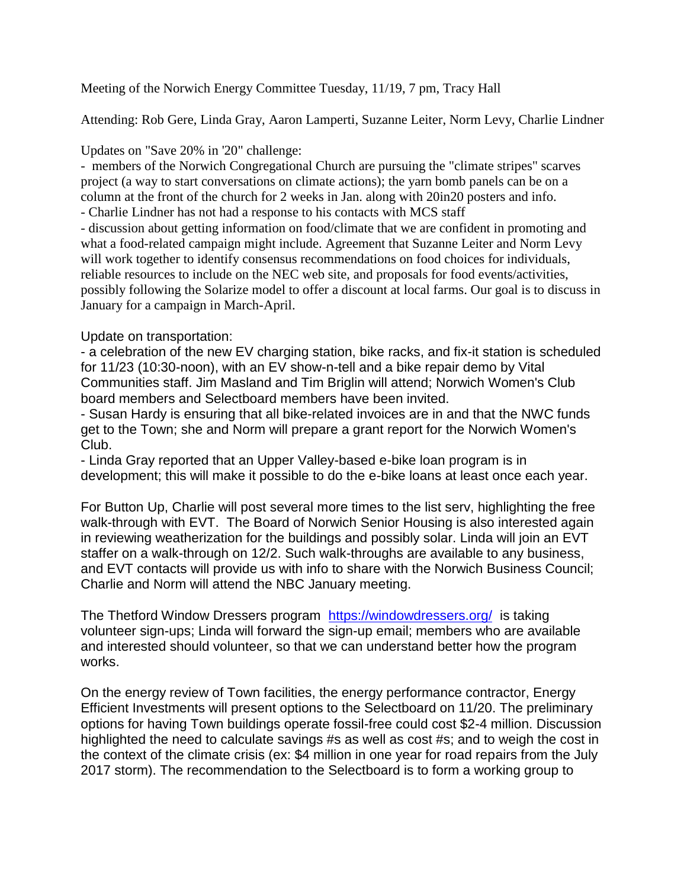Meeting of the Norwich Energy Committee Tuesday, 11/19, 7 pm, Tracy Hall

Attending: Rob Gere, Linda Gray, Aaron Lamperti, Suzanne Leiter, Norm Levy, Charlie Lindner

Updates on "Save 20% in '20" challenge:

- members of the Norwich Congregational Church are pursuing the "climate stripes" scarves project (a way to start conversations on climate actions); the yarn bomb panels can be on a column at the front of the church for 2 weeks in Jan. along with 20in20 posters and info.

- Charlie Lindner has not had a response to his contacts with MCS staff

- discussion about getting information on food/climate that we are confident in promoting and what a food-related campaign might include. Agreement that Suzanne Leiter and Norm Levy will work together to identify consensus recommendations on food choices for individuals, reliable resources to include on the NEC web site, and proposals for food events/activities, possibly following the Solarize model to offer a discount at local farms. Our goal is to discuss in January for a campaign in March-April.

## Update on transportation:

- a celebration of the new EV charging station, bike racks, and fix-it station is scheduled for 11/23 (10:30-noon), with an EV show-n-tell and a bike repair demo by Vital Communities staff. Jim Masland and Tim Briglin will attend; Norwich Women's Club board members and Selectboard members have been invited.

- Susan Hardy is ensuring that all bike-related invoices are in and that the NWC funds get to the Town; she and Norm will prepare a grant report for the Norwich Women's Club.

- Linda Gray reported that an Upper Valley-based e-bike loan program is in development; this will make it possible to do the e-bike loans at least once each year.

For Button Up, Charlie will post several more times to the list serv, highlighting the free walk-through with EVT. The Board of Norwich Senior Housing is also interested again in reviewing weatherization for the buildings and possibly solar. Linda will join an EVT staffer on a walk-through on 12/2. Such walk-throughs are available to any business, and EVT contacts will provide us with info to share with the Norwich Business Council; Charlie and Norm will attend the NBC January meeting.

The Thetford Window Dressers program <https://windowdressers.org/> is taking volunteer sign-ups; Linda will forward the sign-up email; members who are available and interested should volunteer, so that we can understand better how the program works.

On the energy review of Town facilities, the energy performance contractor, Energy Efficient Investments will present options to the Selectboard on 11/20. The preliminary options for having Town buildings operate fossil-free could cost \$2-4 million. Discussion highlighted the need to calculate savings #s as well as cost #s; and to weigh the cost in the context of the climate crisis (ex: \$4 million in one year for road repairs from the July 2017 storm). The recommendation to the Selectboard is to form a working group to